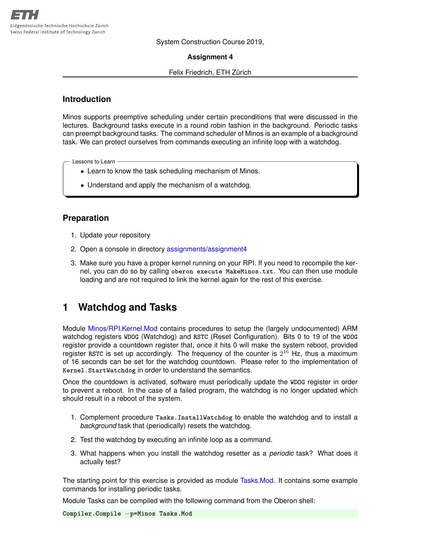System Construction Course 2019,

### **Assignment 4**

### Felix Friedrich, ETH Zürich

## **Introduction**

Minos supports preemptive scheduling under certain preconditions that were discussed in the lectures. Background tasks execute in a round robin fashion in the background. Periodic tasks can preempt background tasks. The command scheduler of Minos is an example of a background task. We can protect ourselves from commands executing an infinite loop with a watchdog.

Lessons to Learn -

- Learn to know the task scheduling mechanism of Minos.
- Understand and apply the mechanism of a watchdog.

# **Preparation**

- 1. Update your repository
- 2. Open a console in directory [assignments/assignment4](https://svn.inf.ethz.ch/svn/lecturers/vorlesungen/trunk/syscon/2019/shared/assignments/assignment4)
- 3. Make sure you have a proper kernel running on your RPI. If you need to recompile the kernel, you can do so by calling **oberon execute MakeMinos.txt**. You can then use module loading and are not required to link the kernel again for the rest of this exercise.

# **1 Watchdog and Tasks**

Module [Minos/RPI.Kernel.Mod](https://svn.inf.ethz.ch/svn/lecturers/vorlesungen/trunk/syscon/2019/shared/assignments/assignment4/Minos/RPI.Kernel.Mod) contains procedures to setup the (largely undocumented) ARM watchdog registers **WDOG** (Watchdog) and **RSTC** (Reset Configuration). Bits 0 to 19 of the **WDOG** register provide a countdown register that, once it hits 0 will make the system reboot, provided register RSTC is set up accordingly. The frequency of the counter is  $2^{16}$  Hz, thus a maximum of 16 seconds can be set for the watchdog countdown. Please refer to the implementation of **Kernel.StartWatchdog** in order to understand the semantics.

Once the countdown is activated, software must periodically update the **WDOG** register in order to prevent a reboot. In the case of a failed program, the watchdog is no longer updated which should result in a reboot of the system.

- 1. Complement procedure **Tasks.InstallWatchdog** to enable the watchdog and to install a *background* task that (periodically) resets the watchdog.
- 2. Test the watchdog by executing an infinite loop as a command.
- 3. What happens when you install the watchdog resetter as a *periodic* task? What does it actually test?

The starting point for this exercise is provided as module [Tasks.Mod.](https://svn.inf.ethz.ch/svn/lecturers/vorlesungen/trunk/syscon/2019/shared/assignments/assignment4/Tasks.Mod) It contains some example commands for installing periodic tasks.

Module Tasks can be compiled with the following command from the Oberon shell:

**Compiler.Compile** −**p=Minos Tasks.Mod**